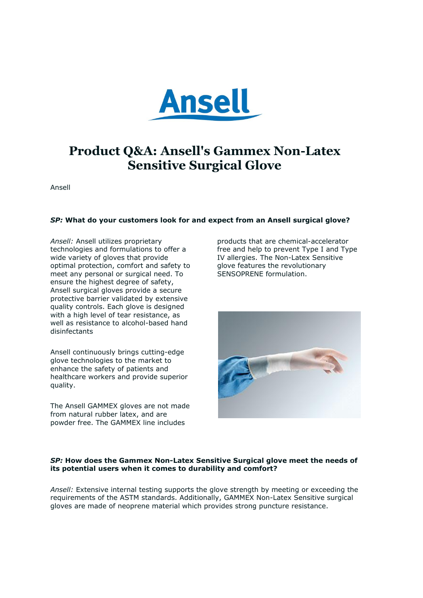

# **Product Q&A: Ansell's Gammex Non-Latex Sensitive Surgical Glove**

Ansell

# *SP:* **What do your customers look for and expect from an Ansell surgical glove?**

*Ansell:* Ansell utilizes proprietary technologies and formulations to offer a wide variety of gloves that provide optimal protection, comfort and safety to meet any personal or surgical need. To ensure the highest degree of safety, Ansell surgical gloves provide a secure protective barrier validated by extensive quality controls. Each glove is designed with a high level of tear resistance, as well as resistance to alcohol-based hand disinfectants

Ansell continuously brings cutting-edge glove technologies to the market to enhance the safety of patients and healthcare workers and provide superior quality.

The Ansell GAMMEX gloves are not made from natural rubber latex, and are powder free. The GAMMEX line includes

products that are chemical-accelerator free and help to prevent Type I and Type IV allergies. The Non-Latex Sensitive glove features the revolutionary SENSOPRENE formulation.



# *SP:* **How does the Gammex Non-Latex Sensitive Surgical glove meet the needs of its potential users when it comes to durability and comfort?**

*Ansell:* Extensive internal testing supports the glove strength by meeting or exceeding the requirements of the ASTM standards. Additionally, GAMMEX Non-Latex Sensitive surgical gloves are made of neoprene material which provides strong puncture resistance.